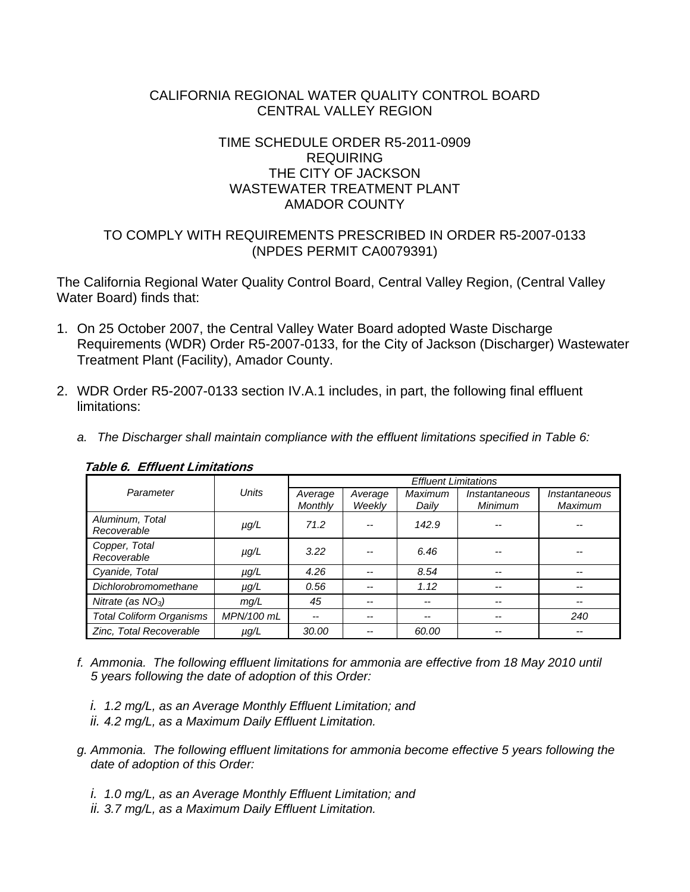## CALIFORNIA REGIONAL WATER QUALITY CONTROL BOARD CENTRAL VALLEY REGION

# TIME SCHEDULE ORDER R5-2011-0909 REQUIRING THE CITY OF JACKSON WASTEWATER TREATMENT PLANT AMADOR COUNTY

# TO COMPLY WITH REQUIREMENTS PRESCRIBED IN ORDER R5-2007-0133 (NPDES PERMIT CA0079391)

The California Regional Water Quality Control Board, Central Valley Region, (Central Valley Water Board) finds that:

- 1. On 25 October 2007, the Central Valley Water Board adopted Waste Discharge Requirements (WDR) Order R5-2007-0133, for the City of Jackson (Discharger) Wastewater Treatment Plant (Facility), Amador County.
- 2. WDR Order R5-2007-0133 section IV.A.1 includes, in part, the following final effluent limitations:
	- *a. The Discharger shall maintain compliance with the effluent limitations specified in Table 6:*

|                                 |            | <b>Effluent Limitations</b> |                   |                  |                          |                                 |  |  |
|---------------------------------|------------|-----------------------------|-------------------|------------------|--------------------------|---------------------------------|--|--|
| Parameter                       | Units      | Average<br><b>Monthly</b>   | Average<br>Weekly | Maximum<br>Daily | Instantaneous<br>Minimum | Instantaneous<br><b>Maximum</b> |  |  |
| Aluminum, Total<br>Recoverable  | $\mu q/L$  | 71.2                        |                   | 142.9            |                          |                                 |  |  |
| Copper, Total<br>Recoverable    | $\mu$ g/L  | 3.22                        |                   | 6.46             |                          |                                 |  |  |
| Cyanide, Total                  | $\mu$ g/L  | 4.26                        |                   | 8.54             | --                       |                                 |  |  |
| Dichlorobromomethane            | $\mu$ g/L  | 0.56                        | $- -$             | 1.12             | --                       |                                 |  |  |
| Nitrate (as $NO3$ )             | mq/L       | 45                          | $- -$             | $-$              | --                       |                                 |  |  |
| <b>Total Coliform Organisms</b> | MPN/100 mL | --                          | $- -$             | $- -$            | $- -$                    | 240                             |  |  |
| Zinc, Total Recoverable         | $\mu$ g/L  | 30.00                       |                   | 60.00            |                          |                                 |  |  |

#### **Table 6. Effluent Limitations**

- *f. Ammonia. The following effluent limitations for ammonia are effective from 18 May 2010 until 5 years following the date of adoption of this Order:* 
	- *i. 1.2 mg/L, as an Average Monthly Effluent Limitation; and ii. 4.2 mg/L, as a Maximum Daily Effluent Limitation.*
- *g. Ammonia. The following effluent limitations for ammonia become effective 5 years following the date of adoption of this Order:* 
	- *i. 1.0 mg/L, as an Average Monthly Effluent Limitation; and*
	- *ii. 3.7 mg/L, as a Maximum Daily Effluent Limitation.*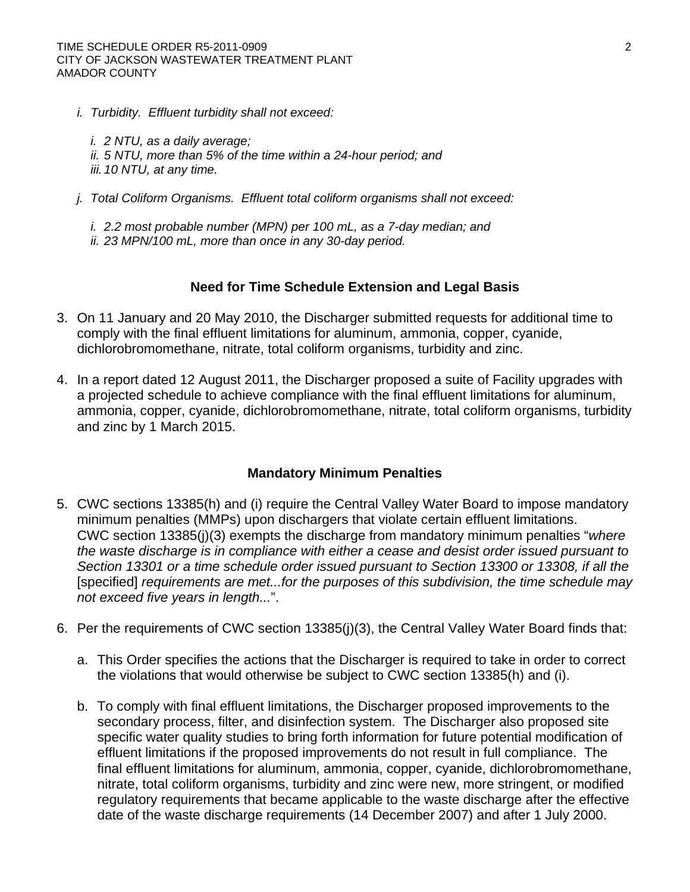*i. Turbidity. Effluent turbidity shall not exceed:* 

*i. 2 NTU, as a daily average; ii. 5 NTU, more than 5% of the time within a 24-hour period; and iii. 10 NTU, at any time.* 

*j. Total Coliform Organisms. Effluent total coliform organisms shall not exceed:* 

*i. 2.2 most probable number (MPN) per 100 mL, as a 7-day median; and ii. 23 MPN/100 mL, more than once in any 30-day period.* 

#### **Need for Time Schedule Extension and Legal Basis**

- 3. On 11 January and 20 May 2010, the Discharger submitted requests for additional time to comply with the final effluent limitations for aluminum, ammonia, copper, cyanide, dichlorobromomethane, nitrate, total coliform organisms, turbidity and zinc.
- 4. In a report dated 12 August 2011, the Discharger proposed a suite of Facility upgrades with a projected schedule to achieve compliance with the final effluent limitations for aluminum, ammonia, copper, cyanide, dichlorobromomethane, nitrate, total coliform organisms, turbidity and zinc by 1 March 2015.

#### **Mandatory Minimum Penalties**

- 5. CWC sections 13385(h) and (i) require the Central Valley Water Board to impose mandatory minimum penalties (MMPs) upon dischargers that violate certain effluent limitations. CWC section 13385(j)(3) exempts the discharge from mandatory minimum penalties "*where the waste discharge is in compliance with either a cease and desist order issued pursuant to Section 13301 or a time schedule order issued pursuant to Section 13300 or 13308, if all the*  [specified] *requirements are met...for the purposes of this subdivision, the time schedule may not exceed five years in length...*".
- 6. Per the requirements of CWC section 13385(j)(3), the Central Valley Water Board finds that:
	- a. This Order specifies the actions that the Discharger is required to take in order to correct the violations that would otherwise be subject to CWC section 13385(h) and (i).
	- b. To comply with final effluent limitations, the Discharger proposed improvements to the secondary process, filter, and disinfection system. The Discharger also proposed site specific water quality studies to bring forth information for future potential modification of effluent limitations if the proposed improvements do not result in full compliance. The final effluent limitations for aluminum, ammonia, copper, cyanide, dichlorobromomethane, nitrate, total coliform organisms, turbidity and zinc were new, more stringent, or modified regulatory requirements that became applicable to the waste discharge after the effective date of the waste discharge requirements (14 December 2007) and after 1 July 2000.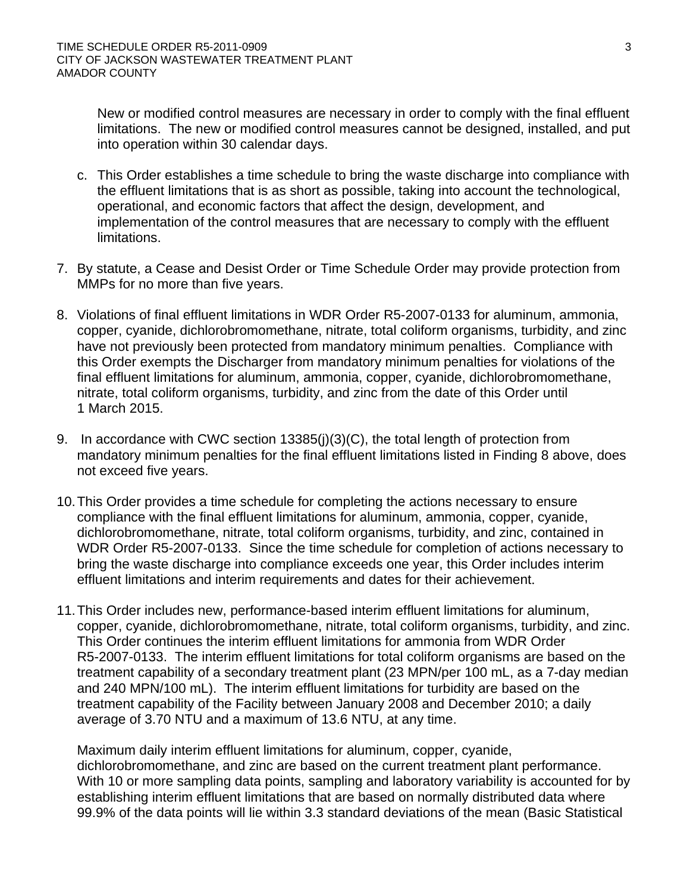New or modified control measures are necessary in order to comply with the final effluent limitations. The new or modified control measures cannot be designed, installed, and put into operation within 30 calendar days.

- c. This Order establishes a time schedule to bring the waste discharge into compliance with the effluent limitations that is as short as possible, taking into account the technological, operational, and economic factors that affect the design, development, and implementation of the control measures that are necessary to comply with the effluent limitations.
- 7. By statute, a Cease and Desist Order or Time Schedule Order may provide protection from MMPs for no more than five years.
- 8. Violations of final effluent limitations in WDR Order R5-2007-0133 for aluminum, ammonia, copper, cyanide, dichlorobromomethane, nitrate, total coliform organisms, turbidity, and zinc have not previously been protected from mandatory minimum penalties. Compliance with this Order exempts the Discharger from mandatory minimum penalties for violations of the final effluent limitations for aluminum, ammonia, copper, cyanide, dichlorobromomethane, nitrate, total coliform organisms, turbidity, and zinc from the date of this Order until 1 March 2015.
- 9. In accordance with CWC section 13385(j)(3)(C), the total length of protection from mandatory minimum penalties for the final effluent limitations listed in Finding 8 above, does not exceed five years.
- 10. This Order provides a time schedule for completing the actions necessary to ensure compliance with the final effluent limitations for aluminum, ammonia, copper, cyanide, dichlorobromomethane, nitrate, total coliform organisms, turbidity, and zinc, contained in WDR Order R5-2007-0133. Since the time schedule for completion of actions necessary to bring the waste discharge into compliance exceeds one year, this Order includes interim effluent limitations and interim requirements and dates for their achievement.
- 11. This Order includes new, performance-based interim effluent limitations for aluminum, copper, cyanide, dichlorobromomethane, nitrate, total coliform organisms, turbidity, and zinc. This Order continues the interim effluent limitations for ammonia from WDR Order R5-2007-0133. The interim effluent limitations for total coliform organisms are based on the treatment capability of a secondary treatment plant (23 MPN/per 100 mL, as a 7-day median and 240 MPN/100 mL). The interim effluent limitations for turbidity are based on the treatment capability of the Facility between January 2008 and December 2010; a daily average of 3.70 NTU and a maximum of 13.6 NTU, at any time.

Maximum daily interim effluent limitations for aluminum, copper, cyanide, dichlorobromomethane, and zinc are based on the current treatment plant performance. With 10 or more sampling data points, sampling and laboratory variability is accounted for by establishing interim effluent limitations that are based on normally distributed data where 99.9% of the data points will lie within 3.3 standard deviations of the mean (Basic Statistical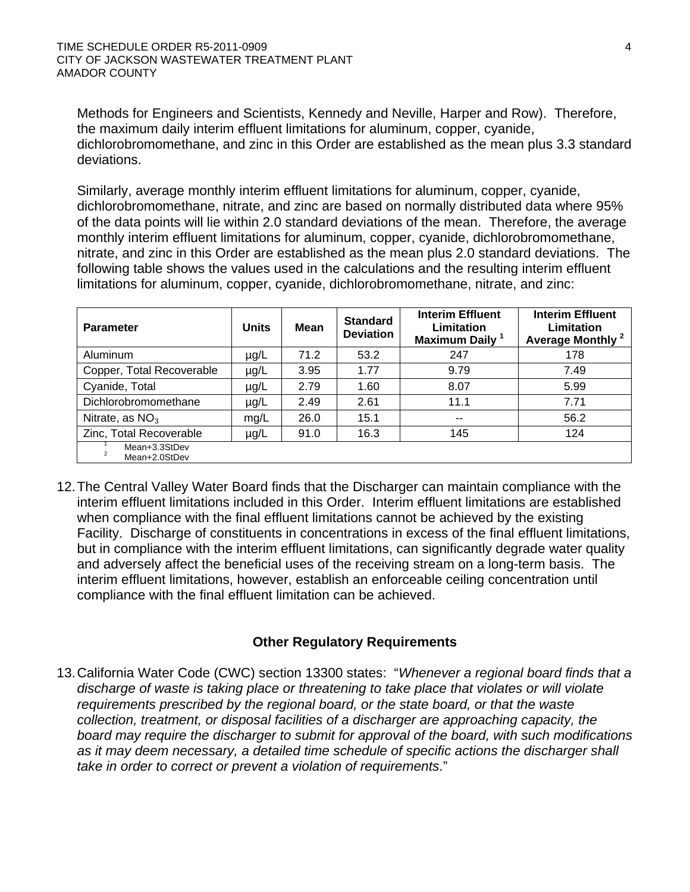Methods for Engineers and Scientists, Kennedy and Neville, Harper and Row). Therefore, the maximum daily interim effluent limitations for aluminum, copper, cyanide, dichlorobromomethane, and zinc in this Order are established as the mean plus 3.3 standard deviations.

Similarly, average monthly interim effluent limitations for aluminum, copper, cyanide, dichlorobromomethane, nitrate, and zinc are based on normally distributed data where 95% of the data points will lie within 2.0 standard deviations of the mean. Therefore, the average monthly interim effluent limitations for aluminum, copper, cyanide, dichlorobromomethane, nitrate, and zinc in this Order are established as the mean plus 2.0 standard deviations. The following table shows the values used in the calculations and the resulting interim effluent limitations for aluminum, copper, cyanide, dichlorobromomethane, nitrate, and zinc:

| <b>Parameter</b>               | <b>Units</b> | Mean | <b>Standard</b><br><b>Deviation</b> | <b>Interim Effluent</b><br>Limitation<br>Maximum Daily <sup>1</sup> | <b>Interim Effluent</b><br>Limitation<br>Average Monthly <sup>2</sup> |  |
|--------------------------------|--------------|------|-------------------------------------|---------------------------------------------------------------------|-----------------------------------------------------------------------|--|
| Aluminum                       | $\mu$ g/L    | 71.2 | 53.2                                | 247                                                                 | 178                                                                   |  |
| Copper, Total Recoverable      | $\mu$ g/L    | 3.95 | 1.77                                | 9.79                                                                | 7.49                                                                  |  |
| Cyanide, Total                 | µg/L         | 2.79 | 1.60                                | 8.07                                                                | 5.99                                                                  |  |
| Dichlorobromomethane           | $\mu$ g/L    | 2.49 | 2.61                                | 11.1                                                                | 7.71                                                                  |  |
| Nitrate, as $NO3$              | mg/L         | 26.0 | 15.1                                | $-$                                                                 | 56.2                                                                  |  |
| Zinc, Total Recoverable        | µg/L         | 91.0 | 16.3                                | 145                                                                 | 124                                                                   |  |
| Mean+3.3StDev<br>Mean+2.0StDev |              |      |                                     |                                                                     |                                                                       |  |

12. The Central Valley Water Board finds that the Discharger can maintain compliance with the interim effluent limitations included in this Order. Interim effluent limitations are established when compliance with the final effluent limitations cannot be achieved by the existing Facility. Discharge of constituents in concentrations in excess of the final effluent limitations, but in compliance with the interim effluent limitations, can significantly degrade water quality and adversely affect the beneficial uses of the receiving stream on a long-term basis. The interim effluent limitations, however, establish an enforceable ceiling concentration until compliance with the final effluent limitation can be achieved.

## **Other Regulatory Requirements**

13. California Water Code (CWC) section 13300 states: "*Whenever a regional board finds that a discharge of waste is taking place or threatening to take place that violates or will violate requirements prescribed by the regional board, or the state board, or that the waste collection, treatment, or disposal facilities of a discharger are approaching capacity, the board may require the discharger to submit for approval of the board, with such modifications as it may deem necessary, a detailed time schedule of specific actions the discharger shall take in order to correct or prevent a violation of requirements*."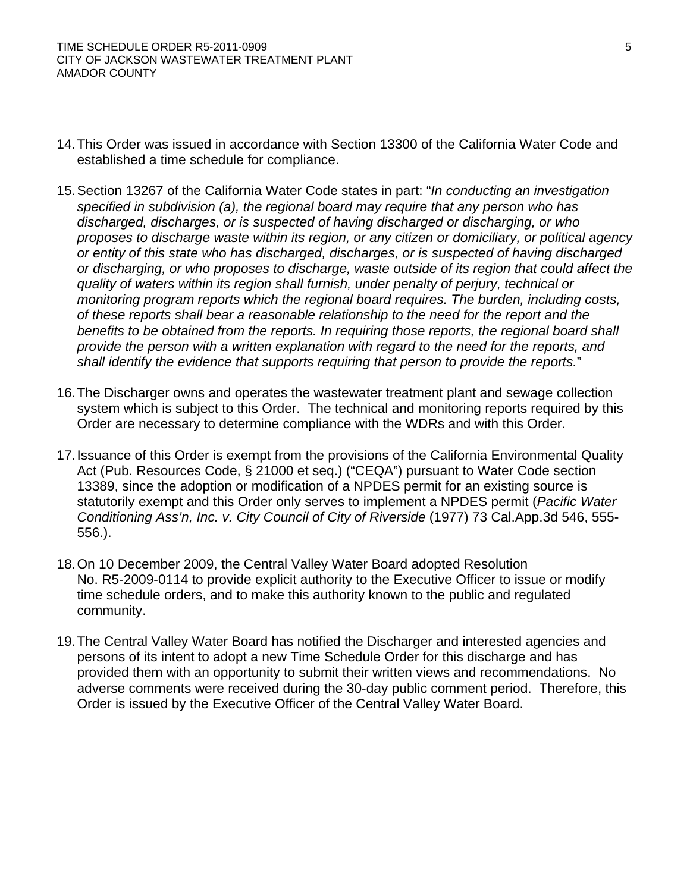- 14. This Order was issued in accordance with Section 13300 of the California Water Code and established a time schedule for compliance.
- 15. Section 13267 of the California Water Code states in part: "*In conducting an investigation specified in subdivision (a), the regional board may require that any person who has discharged, discharges, or is suspected of having discharged or discharging, or who proposes to discharge waste within its region, or any citizen or domiciliary, or political agency or entity of this state who has discharged, discharges, or is suspected of having discharged or discharging, or who proposes to discharge, waste outside of its region that could affect the quality of waters within its region shall furnish, under penalty of perjury, technical or monitoring program reports which the regional board requires. The burden, including costs, of these reports shall bear a reasonable relationship to the need for the report and the benefits to be obtained from the reports. In requiring those reports, the regional board shall provide the person with a written explanation with regard to the need for the reports, and shall identify the evidence that supports requiring that person to provide the reports.*"
- 16. The Discharger owns and operates the wastewater treatment plant and sewage collection system which is subject to this Order. The technical and monitoring reports required by this Order are necessary to determine compliance with the WDRs and with this Order.
- 17. Issuance of this Order is exempt from the provisions of the California Environmental Quality Act (Pub. Resources Code, § 21000 et seq.) ("CEQA") pursuant to Water Code section 13389, since the adoption or modification of a NPDES permit for an existing source is statutorily exempt and this Order only serves to implement a NPDES permit (*Pacific Water Conditioning Ass'n, Inc. v. City Council of City of Riverside* (1977) 73 Cal.App.3d 546, 555- 556.).
- 18. On 10 December 2009, the Central Valley Water Board adopted Resolution No. R5-2009-0114 to provide explicit authority to the Executive Officer to issue or modify time schedule orders, and to make this authority known to the public and regulated community.
- 19. The Central Valley Water Board has notified the Discharger and interested agencies and persons of its intent to adopt a new Time Schedule Order for this discharge and has provided them with an opportunity to submit their written views and recommendations. No adverse comments were received during the 30-day public comment period. Therefore, this Order is issued by the Executive Officer of the Central Valley Water Board.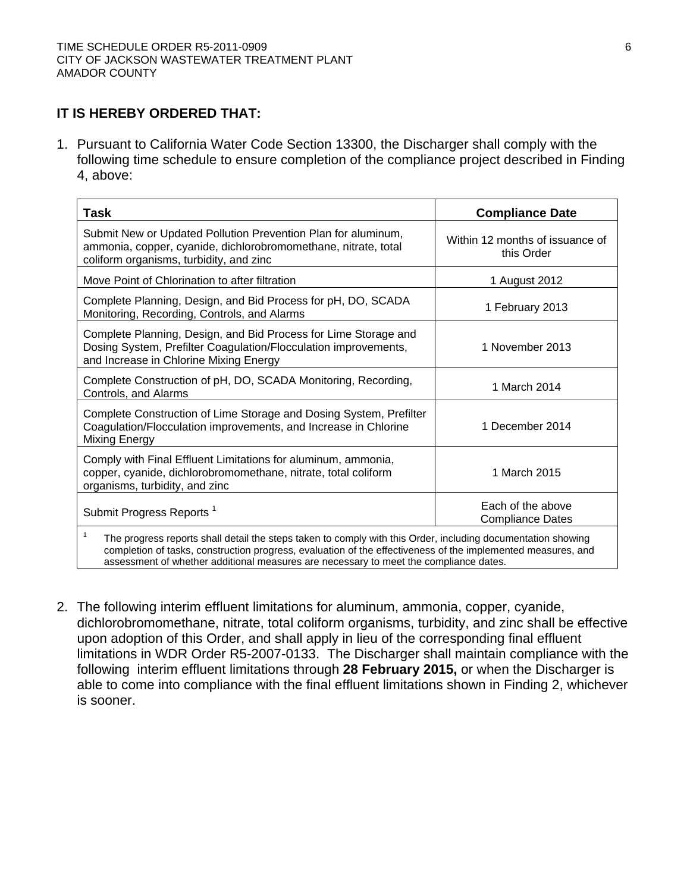# **IT IS HEREBY ORDERED THAT:**

1. Pursuant to California Water Code Section 13300, the Discharger shall comply with the following time schedule to ensure completion of the compliance project described in Finding 4, above:

| Task                                                                                                                                                                                                                                                                                                                       | <b>Compliance Date</b>                        |  |  |  |  |  |
|----------------------------------------------------------------------------------------------------------------------------------------------------------------------------------------------------------------------------------------------------------------------------------------------------------------------------|-----------------------------------------------|--|--|--|--|--|
| Submit New or Updated Pollution Prevention Plan for aluminum,<br>ammonia, copper, cyanide, dichlorobromomethane, nitrate, total<br>coliform organisms, turbidity, and zinc                                                                                                                                                 | Within 12 months of issuance of<br>this Order |  |  |  |  |  |
| Move Point of Chlorination to after filtration                                                                                                                                                                                                                                                                             | 1 August 2012                                 |  |  |  |  |  |
| Complete Planning, Design, and Bid Process for pH, DO, SCADA<br>Monitoring, Recording, Controls, and Alarms                                                                                                                                                                                                                | 1 February 2013                               |  |  |  |  |  |
| Complete Planning, Design, and Bid Process for Lime Storage and<br>Dosing System, Prefilter Coagulation/Flocculation improvements,<br>and Increase in Chlorine Mixing Energy                                                                                                                                               | 1 November 2013                               |  |  |  |  |  |
| Complete Construction of pH, DO, SCADA Monitoring, Recording,<br>Controls, and Alarms                                                                                                                                                                                                                                      | 1 March 2014                                  |  |  |  |  |  |
| Complete Construction of Lime Storage and Dosing System, Prefilter<br>Coagulation/Flocculation improvements, and Increase in Chlorine<br>Mixing Energy                                                                                                                                                                     | 1 December 2014                               |  |  |  |  |  |
| Comply with Final Effluent Limitations for aluminum, ammonia,<br>copper, cyanide, dichlorobromomethane, nitrate, total coliform<br>organisms, turbidity, and zinc                                                                                                                                                          | 1 March 2015                                  |  |  |  |  |  |
| Submit Progress Reports <sup>1</sup>                                                                                                                                                                                                                                                                                       | Each of the above<br><b>Compliance Dates</b>  |  |  |  |  |  |
| 1<br>The progress reports shall detail the steps taken to comply with this Order, including documentation showing<br>completion of tasks, construction progress, evaluation of the effectiveness of the implemented measures, and<br>assessment of whether additional measures are necessary to meet the compliance dates. |                                               |  |  |  |  |  |

2. The following interim effluent limitations for aluminum, ammonia, copper, cyanide, dichlorobromomethane, nitrate, total coliform organisms, turbidity, and zinc shall be effective upon adoption of this Order, and shall apply in lieu of the corresponding final effluent limitations in WDR Order R5-2007-0133. The Discharger shall maintain compliance with the following interim effluent limitations through **28 February 2015,** or when the Discharger is able to come into compliance with the final effluent limitations shown in Finding 2, whichever is sooner.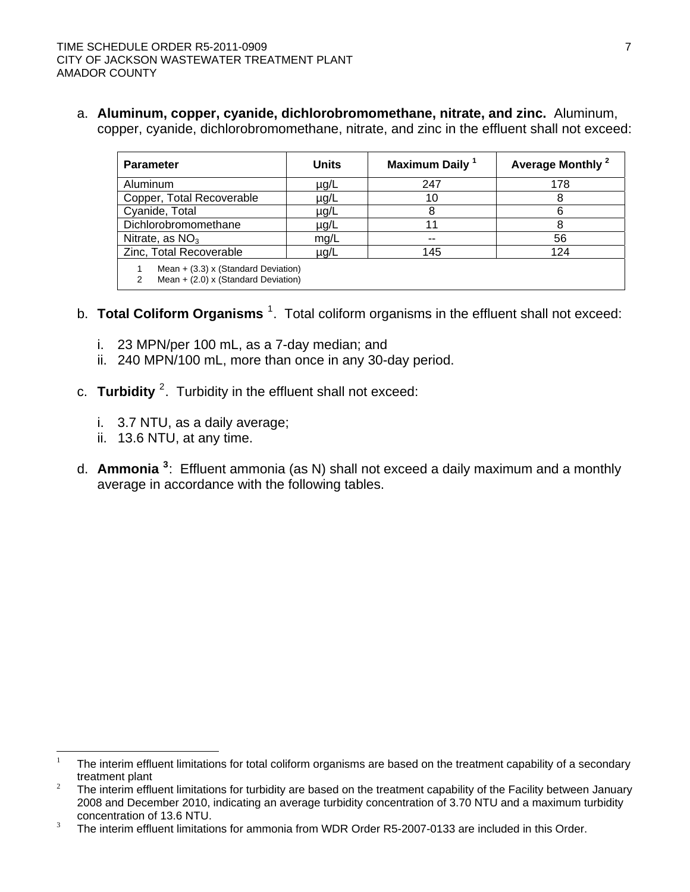a. **Aluminum, copper, cyanide, dichlorobromomethane, nitrate, and zinc.** Aluminum, copper, cyanide, dichlorobromomethane, nitrate, and zinc in the effluent shall not exceed:

| <b>Parameter</b>                                                               | <b>Units</b> | Maximum Daily <sup>1</sup> | Average Monthly <sup>2</sup> |  |  |  |
|--------------------------------------------------------------------------------|--------------|----------------------------|------------------------------|--|--|--|
| Aluminum                                                                       | µg/L         | 247                        | 178                          |  |  |  |
| Copper, Total Recoverable                                                      | µg/L         | 10                         |                              |  |  |  |
| Cyanide, Total                                                                 | µg/L         |                            |                              |  |  |  |
| Dichlorobromomethane                                                           | µg/L         |                            |                              |  |  |  |
| Nitrate, as $NO3$                                                              | mq/L         | --                         | 56                           |  |  |  |
| Zinc, Total Recoverable                                                        | µg/L         | 145                        | 124                          |  |  |  |
| Mean $+$ (3.3) x (Standard Deviation)<br>Mean $+$ (2.0) x (Standard Deviation) |              |                            |                              |  |  |  |

- b. Total Coliform Organisms<sup>[1](#page-6-0)</sup>. Total coliform organisms in the effluent shall not exceed:
	- i. 23 MPN/per 100 mL, as a 7-day median; and
	- ii. 240 MPN/100 mL, more than once in any 30-day period.
- c. Turbidity <sup>[2](#page-6-1)</sup>. Turbidity in the effluent shall not exceed:
	- i. 3.7 NTU, as a daily average;
	- ii. 13.6 NTU, at any time.
- d. **Ammonia [3](#page-6-2)** : Effluent ammonia (as N) shall not exceed a daily maximum and a monthly average in accordance with the following tables.

<span id="page-6-0"></span> $\frac{1}{1}$  The interim effluent limitations for total coliform organisms are based on the treatment capability of a secondary treatment plant<br><sup>2</sup> The interim effluent limitations for turbidity are based on the treatment capability of the Facility between January

<span id="page-6-1"></span><sup>2008</sup> and December 2010, indicating an average turbidity concentration of 3.70 NTU and a maximum turbidity concentration of 13.6 NTU.<br><sup>3</sup> The interim effluent limitations for ammonia from WDR Order R5-2007-0133 are included in this Order.

<span id="page-6-2"></span>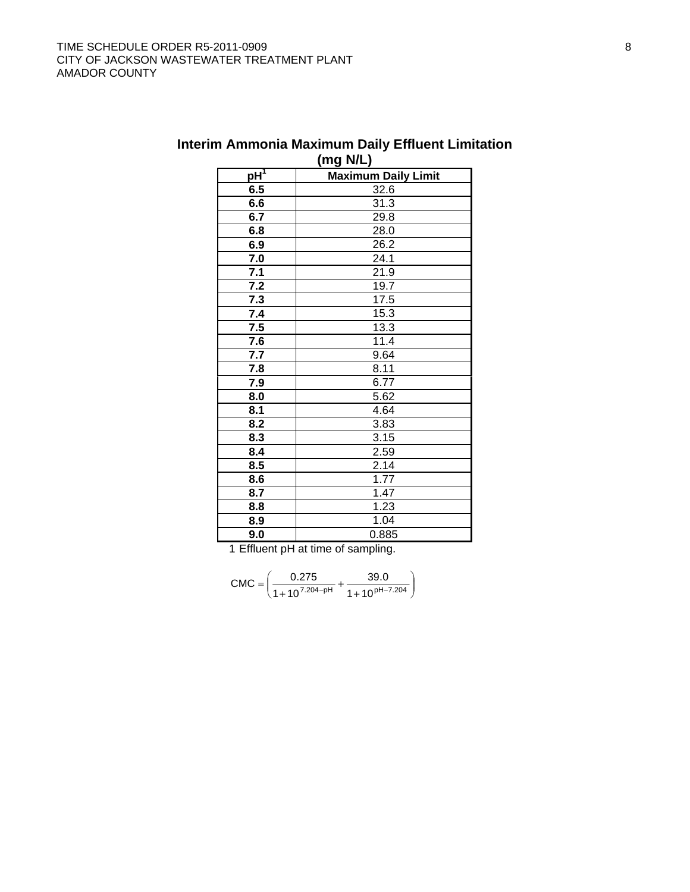| $\cdots$ $\cdots$ $\cdots$ $\cdots$ |                            |  |  |  |  |  |  |
|-------------------------------------|----------------------------|--|--|--|--|--|--|
| $pH^T$                              | <b>Maximum Daily Limit</b> |  |  |  |  |  |  |
| 6.5                                 | 32.6                       |  |  |  |  |  |  |
| 6.6                                 | 31.3                       |  |  |  |  |  |  |
| 6.7                                 | 29.8                       |  |  |  |  |  |  |
| 6.8                                 | 28.0                       |  |  |  |  |  |  |
| 6.9                                 | 26.2                       |  |  |  |  |  |  |
| 7.0                                 | 24.1                       |  |  |  |  |  |  |
| 7.1                                 | 21.9                       |  |  |  |  |  |  |
| 7.2                                 | 19.7                       |  |  |  |  |  |  |
| 7.3                                 | 17.5                       |  |  |  |  |  |  |
| 7.4                                 | 15.3                       |  |  |  |  |  |  |
| 7.5                                 | 13.3                       |  |  |  |  |  |  |
| 7.6                                 | 11.4                       |  |  |  |  |  |  |
| 7.7                                 | 9.64                       |  |  |  |  |  |  |
| 7.8                                 | 8.11                       |  |  |  |  |  |  |
| 7.9                                 | 6.77                       |  |  |  |  |  |  |
| 8.0                                 | 5.62                       |  |  |  |  |  |  |
| 8.1                                 | 4.64                       |  |  |  |  |  |  |
| 8.2                                 | 3.83                       |  |  |  |  |  |  |
| 8.3                                 | 3.15                       |  |  |  |  |  |  |
| 8.4                                 | 2.59                       |  |  |  |  |  |  |
| 8.5                                 | 2.14                       |  |  |  |  |  |  |
| 8.6                                 | 1.77                       |  |  |  |  |  |  |
| 8.7                                 | 1.47                       |  |  |  |  |  |  |
| 8.8                                 | 1.23                       |  |  |  |  |  |  |
| 8.9                                 | 1.04                       |  |  |  |  |  |  |
| 9.0                                 | 0.885                      |  |  |  |  |  |  |

## **Interim Ammonia Maximum Daily Effluent Limitation (mg N/L)**

1 Effluent pH at time of sampling.

$$
CMC = \left(\frac{0.275}{1 + 10^{7.204 - pH}} + \frac{39.0}{1 + 10^{pH - 7.204}}\right)
$$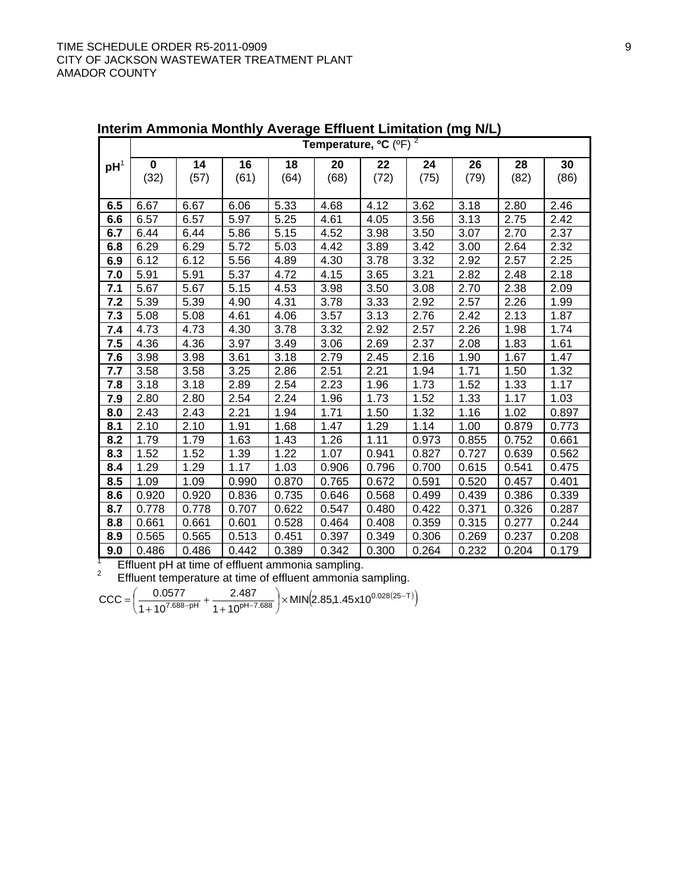|                 | Temperature, <sup>o</sup> C (°F) <sup>2</sup> |       |       |       |       |       |       |       |       |       |
|-----------------|-----------------------------------------------|-------|-------|-------|-------|-------|-------|-------|-------|-------|
| pH <sup>1</sup> | $\bf{0}$                                      | 14    | 16    | 18    | 20    | 22    | 24    | 26    | 28    | 30    |
|                 | (32)                                          | (57)  | (61)  | (64)  | (68)  | (72)  | (75)  | (79)  | (82)  | (86)  |
|                 |                                               |       |       |       |       |       |       |       |       |       |
| 6.5             | 6.67                                          | 6.67  | 6.06  | 5.33  | 4.68  | 4.12  | 3.62  | 3.18  | 2.80  | 2.46  |
| 6.6             | 6.57                                          | 6.57  | 5.97  | 5.25  | 4.61  | 4.05  | 3.56  | 3.13  | 2.75  | 2.42  |
| 6.7             | 6.44                                          | 6.44  | 5.86  | 5.15  | 4.52  | 3.98  | 3.50  | 3.07  | 2.70  | 2.37  |
| 6.8             | 6.29                                          | 6.29  | 5.72  | 5.03  | 4.42  | 3.89  | 3.42  | 3.00  | 2.64  | 2.32  |
| 6.9             | 6.12                                          | 6.12  | 5.56  | 4.89  | 4.30  | 3.78  | 3.32  | 2.92  | 2.57  | 2.25  |
| 7.0             | 5.91                                          | 5.91  | 5.37  | 4.72  | 4.15  | 3.65  | 3.21  | 2.82  | 2.48  | 2.18  |
| 7.1             | 5.67                                          | 5.67  | 5.15  | 4.53  | 3.98  | 3.50  | 3.08  | 2.70  | 2.38  | 2.09  |
| 7.2             | 5.39                                          | 5.39  | 4.90  | 4.31  | 3.78  | 3.33  | 2.92  | 2.57  | 2.26  | 1.99  |
| 7.3             | 5.08                                          | 5.08  | 4.61  | 4.06  | 3.57  | 3.13  | 2.76  | 2.42  | 2.13  | 1.87  |
| 7.4             | 4.73                                          | 4.73  | 4.30  | 3.78  | 3.32  | 2.92  | 2.57  | 2.26  | 1.98  | 1.74  |
| 7.5             | 4.36                                          | 4.36  | 3.97  | 3.49  | 3.06  | 2.69  | 2.37  | 2.08  | 1.83  | 1.61  |
| 7.6             | 3.98                                          | 3.98  | 3.61  | 3.18  | 2.79  | 2.45  | 2.16  | 1.90  | 1.67  | 1.47  |
| 7.7             | 3.58                                          | 3.58  | 3.25  | 2.86  | 2.51  | 2.21  | 1.94  | 1.71  | 1.50  | 1.32  |
| 7.8             | 3.18                                          | 3.18  | 2.89  | 2.54  | 2.23  | 1.96  | 1.73  | 1.52  | 1.33  | 1.17  |
| 7.9             | 2.80                                          | 2.80  | 2.54  | 2.24  | 1.96  | 1.73  | 1.52  | 1.33  | 1.17  | 1.03  |
| 8.0             | 2.43                                          | 2.43  | 2.21  | 1.94  | 1.71  | 1.50  | 1.32  | 1.16  | 1.02  | 0.897 |
| 8.1             | 2.10                                          | 2.10  | 1.91  | 1.68  | 1.47  | 1.29  | 1.14  | 1.00  | 0.879 | 0.773 |
| 8.2             | 1.79                                          | 1.79  | 1.63  | 1.43  | 1.26  | 1.11  | 0.973 | 0.855 | 0.752 | 0.661 |
| 8.3             | 1.52                                          | 1.52  | 1.39  | 1.22  | 1.07  | 0.941 | 0.827 | 0.727 | 0.639 | 0.562 |
| 8.4             | 1.29                                          | 1.29  | 1.17  | 1.03  | 0.906 | 0.796 | 0.700 | 0.615 | 0.541 | 0.475 |
| 8.5             | 1.09                                          | 1.09  | 0.990 | 0.870 | 0.765 | 0.672 | 0.591 | 0.520 | 0.457 | 0.401 |
| 8.6             | 0.920                                         | 0.920 | 0.836 | 0.735 | 0.646 | 0.568 | 0.499 | 0.439 | 0.386 | 0.339 |
| 8.7             | 0.778                                         | 0.778 | 0.707 | 0.622 | 0.547 | 0.480 | 0.422 | 0.371 | 0.326 | 0.287 |
| 8.8             | 0.661                                         | 0.661 | 0.601 | 0.528 | 0.464 | 0.408 | 0.359 | 0.315 | 0.277 | 0.244 |
| 8.9             | 0.565                                         | 0.565 | 0.513 | 0.451 | 0.397 | 0.349 | 0.306 | 0.269 | 0.237 | 0.208 |
| 9.0             | 0.486                                         | 0.486 | 0.442 | 0.389 | 0.342 | 0.300 | 0.264 | 0.232 | 0.204 | 0.179 |

**Interim Ammonia Monthly Average Effluent Limitation (mg N/L)** 

<sup>1</sup> Effluent pH at time of effluent ammonia sampling.<br><sup>2</sup> Effluent temperature at time of effluent ammonia sampling.

 $\frac{1577}{( 7.688 - \text{pH}^2)^4} + \frac{2.487}{( 1 + 10^{ \text{pH} - 7.688}} \times \text{MIN} (2.85, 1.45 \times 10^{0.028(25 - T)})$ 2.487  $1+10$  $CCC = \left(\frac{0.0577}{1 + 10^{7.688 - pH}} + \frac{2.487}{1 + 10^{pH - 7.688}}\right) \times MIN(2.85, 1.45 \times 10^{0.028(25 - pH)}).$  $\left(\frac{0.0577}{0.057688 \cdot \text{pH}} + \frac{2.487}{0.022688}\right)$ ⎝ ⎛ +  $=\left(\frac{6.6611}{1+10^{7.688-pH}}+ \right)$